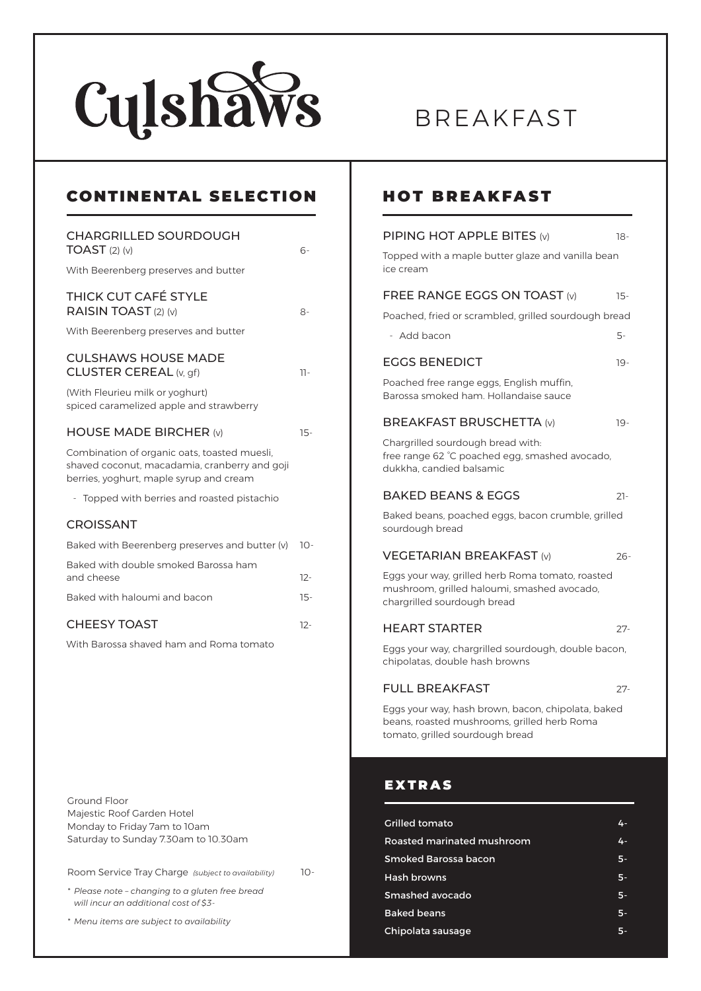

# BREAKFAST

| <b>CONTINENTAL SELECTION</b>                                                                                                             |        |
|------------------------------------------------------------------------------------------------------------------------------------------|--------|
| <b>CHARGRILLED SOURDOUGH</b><br>$TOAST$ (2) (v)                                                                                          | 6-     |
| With Beerenberg preserves and butter                                                                                                     |        |
| <b>THICK CUT CAFÉ STYLE</b><br>RAISIN TOAST (2) (v)                                                                                      | 8-     |
| With Beerenberg preserves and butter                                                                                                     |        |
| <b>CULSHAWS HOUSE MADE</b><br>CLUSTER CEREAL (v, gf)                                                                                     | 11-    |
| (With Fleurieu milk or yoghurt)<br>spiced caramelized apple and strawberry                                                               |        |
| <b>HOUSE MADE BIRCHER (v)</b>                                                                                                            | $15 -$ |
| Combination of organic oats, toasted muesli,<br>shaved coconut, macadamia, cranberry and goji<br>berries, yoghurt, maple syrup and cream |        |
| - Topped with berries and roasted pistachio                                                                                              |        |
| <b>CROISSANT</b>                                                                                                                         |        |
| Baked with Beerenberg preserves and butter (v)                                                                                           | $10-$  |
| Baked with double smoked Barossa ham<br>and cheese                                                                                       | $12 -$ |
| Baked with haloumi and bacon                                                                                                             | $15-$  |
| <b>CHEESY TOAST</b>                                                                                                                      | $12 -$ |
| With Barossa shaved ham and Roma tomato                                                                                                  |        |

Ground Floor Majestic Roof Garden Hotel Monday to Friday 7am to 10am Saturday to Sunday 7.30am to 10.30am

Room Service Tray Charge *(subject to availability)* 10-

*\* Please note – changing to a gluten free bread will incur an additional cost of \$3-*

*\* Menu items are subject to availability* 

#### HOT BREAKFAST

| PIPING HOT APPLE BITES (v)                                                                                                           | 18-    |
|--------------------------------------------------------------------------------------------------------------------------------------|--------|
| Topped with a maple butter glaze and vanilla bean<br>ice cream                                                                       |        |
| <b>FREE RANGE EGGS ON TOAST (v)</b>                                                                                                  | 15-    |
| Poached, fried or scrambled, grilled sourdough bread                                                                                 |        |
| - Add bacon                                                                                                                          | 5-     |
| <b>EGGS BENEDICT</b>                                                                                                                 | 19-    |
| Poached free range eggs, English muffin,<br>Barossa smoked ham. Hollandaise sauce                                                    |        |
| <b>BREAKFAST BRUSCHETTA (v)</b>                                                                                                      | 19-    |
| Chargrilled sourdough bread with:<br>free range 62 °C poached egg, smashed avocado,<br>dukkha, candied balsamic                      |        |
| <b>BAKED BEANS &amp; EGGS</b>                                                                                                        | $21-$  |
| Baked beans, poached eggs, bacon crumble, grilled<br>sourdough bread                                                                 |        |
| <b>VEGETARIAN BREAKFAST (v)</b>                                                                                                      | $26 -$ |
| Eggs your way, grilled herb Roma tomato, roasted<br>mushroom, grilled haloumi, smashed avocado,<br>chargrilled sourdough bread       |        |
| <b>HEART STARTER</b>                                                                                                                 | 27-    |
| Eggs your way, chargrilled sourdough, double bacon,<br>chipolatas, double hash browns                                                |        |
| <b>FULL BREAKFAST</b>                                                                                                                | 27-    |
| Eggs your way, hash brown, bacon, chipolata, baked<br>beans, roasted mushrooms, grilled herb Roma<br>tomato, grilled sourdough bread |        |
| <b>EXTRAS</b>                                                                                                                        |        |
| <b>Grilled tomato</b>                                                                                                                |        |
| Roasted marinated mushroom                                                                                                           |        |

| Roasted marinated mushroom | 4. |
|----------------------------|----|
| Smoked Barossa bacon       | 5. |
| Hash browns                | 5. |
| Smashed avocado            | 5. |
| <b>Baked beans</b>         | 5. |
| Chipolata sausage          |    |